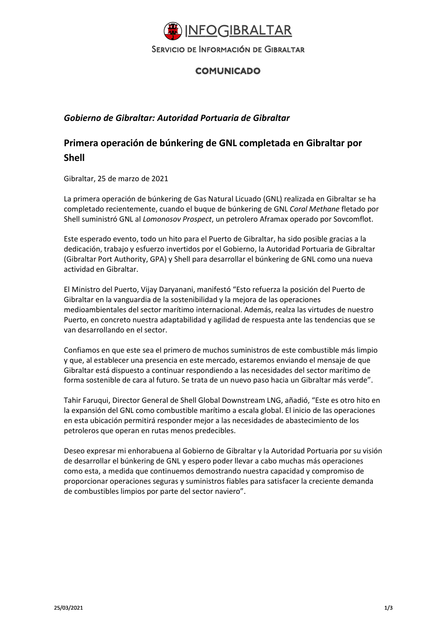

### **COMUNICADO**

*Gobierno de Gibraltar: Autoridad Portuaria de Gibraltar* 

# **Primera operación de búnkering de GNL completada en Gibraltar por Shell**

Gibraltar, 25 de marzo de 2021

La primera operación de búnkering de Gas Natural Licuado (GNL) realizada en Gibraltar se ha completado recientemente, cuando el buque de búnkering de GNL *Coral Methane* fletado por Shell suministró GNL al *Lomonosov Prospect*, un petrolero Aframax operado por Sovcomflot.

Este esperado evento, todo un hito para el Puerto de Gibraltar, ha sido posible gracias a la dedicación, trabajo y esfuerzo invertidos por el Gobierno, la Autoridad Portuaria de Gibraltar (Gibraltar Port Authority, GPA) y Shell para desarrollar el búnkering de GNL como una nueva actividad en Gibraltar.

El Ministro del Puerto, Vijay Daryanani, manifestó "Esto refuerza la posición del Puerto de Gibraltar en la vanguardia de la sostenibilidad y la mejora de las operaciones medioambientales del sector marítimo internacional. Además, realza las virtudes de nuestro Puerto, en concreto nuestra adaptabilidad y agilidad de respuesta ante las tendencias que se van desarrollando en el sector.

Confiamos en que este sea el primero de muchos suministros de este combustible más limpio y que, al establecer una presencia en este mercado, estaremos enviando el mensaje de que Gibraltar está dispuesto a continuar respondiendo a las necesidades del sector marítimo de forma sostenible de cara al futuro. Se trata de un nuevo paso hacia un Gibraltar más verde".

Tahir Faruqui, Director General de Shell Global Downstream LNG, añadió, "Este es otro hito en la expansión del GNL como combustible marítimo a escala global. El inicio de las operaciones en esta ubicación permitirá responder mejor a las necesidades de abastecimiento de los petroleros que operan en rutas menos predecibles.

Deseo expresar mi enhorabuena al Gobierno de Gibraltar y la Autoridad Portuaria por su visión de desarrollar el búnkering de GNL y espero poder llevar a cabo muchas más operaciones como esta, a medida que continuemos demostrando nuestra capacidad y compromiso de proporcionar operaciones seguras y suministros fiables para satisfacer la creciente demanda de combustibles limpios por parte del sector naviero".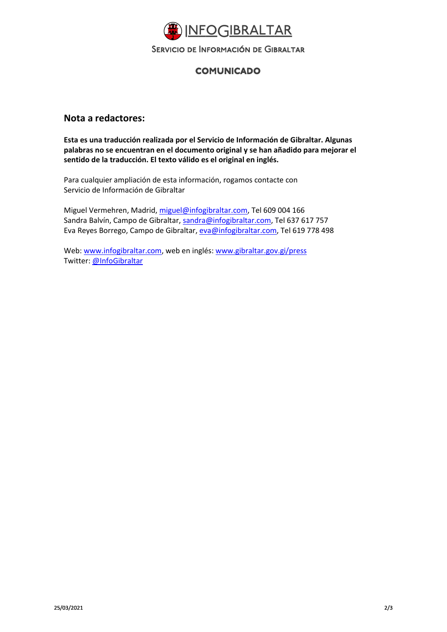

## **COMUNICADO**

#### **Nota a redactores:**

**Esta es una traducción realizada por el Servicio de Información de Gibraltar. Algunas palabras no se encuentran en el documento original y se han añadido para mejorar el sentido de la traducción. El texto válido es el original en inglés.**

Para cualquier ampliación de esta información, rogamos contacte con Servicio de Información de Gibraltar

Miguel Vermehren, Madrid, [miguel@infogibraltar.com,](mailto:miguel@infogibraltar.com) Tel 609 004 166 Sandra Balvín, Campo de Gibraltar[, sandra@infogibraltar.com,](mailto:sandra@infogibraltar.com) Tel 637 617 757 Eva Reyes Borrego, Campo de Gibraltar[, eva@infogibraltar.com,](mailto:eva@infogibraltar.com) Tel 619 778 498

Web[: www.infogibraltar.com,](http://www.infogibraltar.com/) web en inglés: [www.gibraltar.gov.gi/press](http://www.gibraltar.gov.gi/press) Twitter: [@InfoGibraltar](https://twitter.com/infogibraltar)